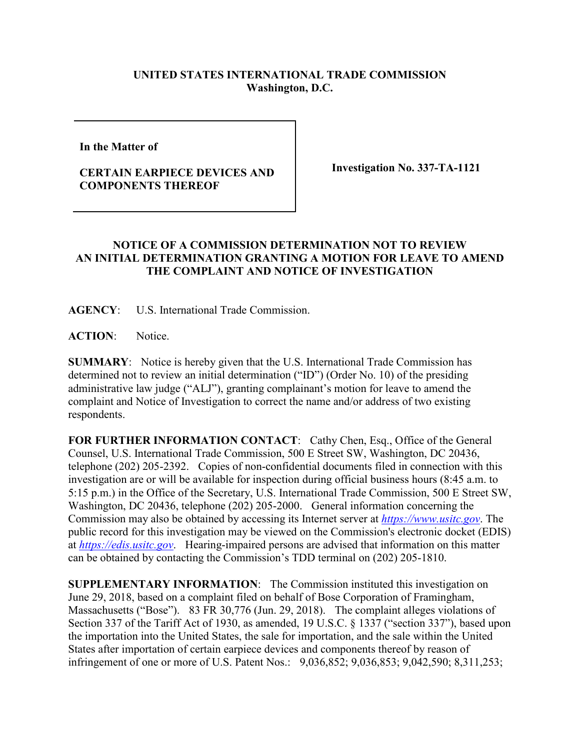## **UNITED STATES INTERNATIONAL TRADE COMMISSION Washington, D.C.**

**In the Matter of** 

## **CERTAIN EARPIECE DEVICES AND COMPONENTS THEREOF**

**Investigation No. 337-TA-1121**

## **NOTICE OF A COMMISSION DETERMINATION NOT TO REVIEW AN INITIAL DETERMINATION GRANTING A MOTION FOR LEAVE TO AMEND THE COMPLAINT AND NOTICE OF INVESTIGATION**

**AGENCY**: U.S. International Trade Commission.

**ACTION**: Notice.

**SUMMARY**: Notice is hereby given that the U.S. International Trade Commission has determined not to review an initial determination ("ID") (Order No. 10) of the presiding administrative law judge ("ALJ"), granting complainant's motion for leave to amend the complaint and Notice of Investigation to correct the name and/or address of two existing respondents.

FOR FURTHER INFORMATION CONTACT: Cathy Chen, Esq., Office of the General Counsel, U.S. International Trade Commission, 500 E Street SW, Washington, DC 20436, telephone (202) 205-2392. Copies of non-confidential documents filed in connection with this investigation are or will be available for inspection during official business hours (8:45 a.m. to 5:15 p.m.) in the Office of the Secretary, U.S. International Trade Commission, 500 E Street SW, Washington, DC 20436, telephone (202) 205-2000. General information concerning the Commission may also be obtained by accessing its Internet server at *[https://www.usitc.gov](https://www.usitc.gov/)*. The public record for this investigation may be viewed on the Commission's electronic docket (EDIS) at *[https://edis.usitc.gov](https://edis.usitc.gov/)*. Hearing-impaired persons are advised that information on this matter can be obtained by contacting the Commission's TDD terminal on (202) 205-1810.

**SUPPLEMENTARY INFORMATION**: The Commission instituted this investigation on June 29, 2018, based on a complaint filed on behalf of Bose Corporation of Framingham, Massachusetts ("Bose"). 83 FR 30,776 (Jun. 29, 2018). The complaint alleges violations of Section 337 of the Tariff Act of 1930, as amended, 19 U.S.C. § 1337 ("section 337"), based upon the importation into the United States, the sale for importation, and the sale within the United States after importation of certain earpiece devices and components thereof by reason of infringement of one or more of U.S. Patent Nos.: 9,036,852; 9,036,853; 9,042,590; 8,311,253;